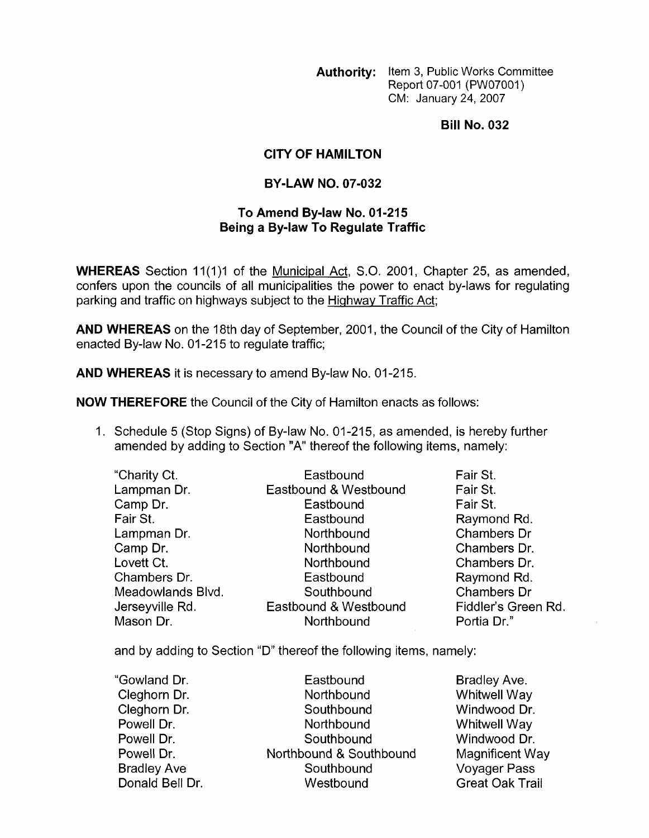**Authority:** Item 3, Public Works Committee Report 07-001 (PW07001) CM: January 24,2007

**Bill No. 032** 

## **CITY OF HAMILTON**

## **BY-LAW NO. 07-032**

## **To Amend Bylaw No. 01-215 Being a By-law To Regulate Traffic**

**WHEREAS** Section 11(1)1 of the Municipal Act, S.O. 2001, Chapter 25, as amended, confers upon the councils of all municipalities the power to enact by-laws for regulating parking and traffic on highways subject to the Highwav Traffic Act;

**AND WHEREAS** on the 18th day of September, 2001, the Council of the City of Hamilton enacted By-law No. 01-215 to regulate traffic;

**AND WHEREAS** it is necessary to amend By-law No. 01-215.

**NOW THEREFORE** the Council of the City of Hamilton enacts as follows:

1. Schedule 5 (Stop Signs) of By-law No. 01-215, as amended, is hereby further amended by adding to Section "A" thereof the following items, namely:

| "Charity Ct.      | Eastbound             | Fair St.            |
|-------------------|-----------------------|---------------------|
| Lampman Dr.       | Eastbound & Westbound | Fair St.            |
| Camp Dr.          | Eastbound             | Fair St.            |
| Fair St.          | Eastbound             | Raymond Rd.         |
| Lampman Dr.       | Northbound            | Chambers Dr         |
| Camp Dr.          | Northbound            | Chambers Dr.        |
| Lovett Ct.        | Northbound            | Chambers Dr.        |
| Chambers Dr.      | Eastbound             | Raymond Rd.         |
| Meadowlands Blvd. | Southbound            | Chambers Dr         |
| Jerseyville Rd.   | Eastbound & Westbound | Fiddler's Green Rd. |
| Mason Dr.         | Northbound            | Portia Dr."         |

and by adding to Section "D" thereof the following items, namely:

| "Gowland Dr.       | Eastbound               | Bradley Ave.           |
|--------------------|-------------------------|------------------------|
| Cleghorn Dr.       | Northbound              | <b>Whitwell Way</b>    |
| Cleghorn Dr.       | Southbound              | Windwood Dr.           |
| Powell Dr.         | Northbound              | <b>Whitwell Way</b>    |
| Powell Dr.         | Southbound              | Windwood Dr.           |
| Powell Dr.         | Northbound & Southbound | Magnificent Way        |
| <b>Bradley Ave</b> | Southbound              | <b>Voyager Pass</b>    |
| Donald Bell Dr.    | Westbound               | <b>Great Oak Trail</b> |